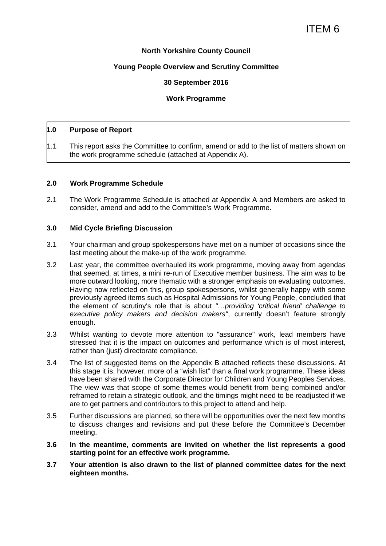#### **North Yorkshire County Council**

#### **Young People Overview and Scrutiny Committee**

#### **30 September 2016**

#### **Work Programme**

#### **1.0 Purpose of Report**

1.1 This report asks the Committee to confirm, amend or add to the list of matters shown on the work programme schedule (attached at Appendix A).

#### **2.0 Work Programme Schedule**

2.1 The Work Programme Schedule is attached at Appendix A and Members are asked to consider, amend and add to the Committee's Work Programme.

#### **3.0 Mid Cycle Briefing Discussion**

- 3.1 Your chairman and group spokespersons have met on a number of occasions since the last meeting about the make-up of the work programme.
- 3.2 Last year, the committee overhauled its work programme, moving away from agendas that seemed, at times, a mini re-run of Executive member business. The aim was to be more outward looking, more thematic with a stronger emphasis on evaluating outcomes. Having now reflected on this, group spokespersons, whilst generally happy with some previously agreed items such as Hospital Admissions for Young People, concluded that the element of scrutiny's role that is about *"…providing 'critical friend' challenge to executive policy makers and decision makers"*, currently doesn't feature strongly enough.
- 3.3 Whilst wanting to devote more attention to "assurance" work, lead members have stressed that it is the impact on outcomes and performance which is of most interest, rather than (just) directorate compliance.
- 3.4 The list of suggested items on the Appendix B attached reflects these discussions. At this stage it is, however, more of a "wish list" than a final work programme. These ideas have been shared with the Corporate Director for Children and Young Peoples Services. The view was that scope of some themes would benefit from being combined and/or reframed to retain a strategic outlook, and the timings might need to be readjusted if we are to get partners and contributors to this project to attend and help.
- 3.5 Further discussions are planned, so there will be opportunities over the next few months to discuss changes and revisions and put these before the Committee's December meeting.
- **3.6 In the meantime, comments are invited on whether the list represents a good starting point for an effective work programme.**
- **3.7 Your attention is also drawn to the list of planned committee dates for the next eighteen months.**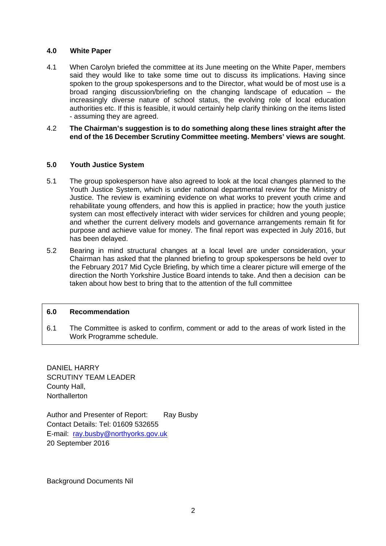#### **4.0 White Paper**

- 4.1 When Carolyn briefed the committee at its June meeting on the White Paper, members said they would like to take some time out to discuss its implications. Having since spoken to the group spokespersons and to the Director, what would be of most use is a broad ranging discussion/briefing on the changing landscape of education – the increasingly diverse nature of school status, the evolving role of local education authorities etc. If this is feasible, it would certainly help clarify thinking on the items listed - assuming they are agreed.
- 4.2 **The Chairman's suggestion is to do something along these lines straight after the end of the 16 December Scrutiny Committee meeting. Members' views are sought**.

#### **5.0 Youth Justice System**

- 5.1 The group spokesperson have also agreed to look at the local changes planned to the Youth Justice System, which is under national departmental review for the Ministry of Justice. The review is examining evidence on what works to prevent youth crime and rehabilitate young offenders, and how this is applied in practice; how the youth justice system can most effectively interact with wider services for children and young people; and whether the current delivery models and governance arrangements remain fit for purpose and achieve value for money. The final report was expected in July 2016, but has been delayed.
- 5.2 Bearing in mind structural changes at a local level are under consideration, your Chairman has asked that the planned briefing to group spokespersons be held over to the February 2017 Mid Cycle Briefing, by which time a clearer picture will emerge of the direction the North Yorkshire Justice Board intends to take. And then a decision can be taken about how best to bring that to the attention of the full committee

#### **6.0 Recommendation**

6.1 The Committee is asked to confirm, comment or add to the areas of work listed in the Work Programme schedule.

DANIEL HARRY SCRUTINY TEAM LEADER County Hall, **Northallerton** 

Author and Presenter of Report: Ray Busby Contact Details: Tel: 01609 532655 E-mail: ray.busby@northyorks.gov.uk 20 September 2016

Background Documents Nil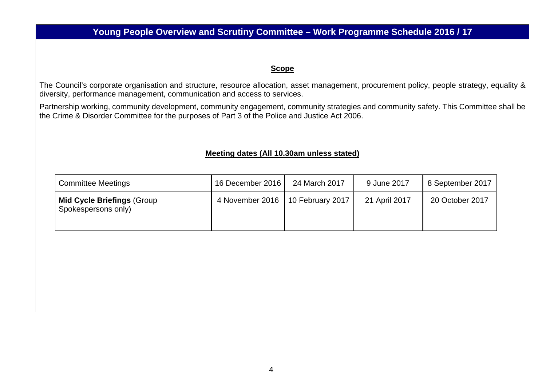### **Young People Overview and Scrutiny Committee – Work Programme Schedule 2016 / 17**

#### **Scope**

The Council's corporate organisation and structure, resource allocation, asset management, procurement policy, people strategy, equality & diversity, performance management, communication and access to services.

Partnership working, community development, community engagement, community strategies and community safety. This Committee shall be the Crime & Disorder Committee for the purposes of Part 3 of the Police and Justice Act 2006.

#### **Meeting dates (All 10.30am unless stated)**

| <b>Committee Meetings</b>                                | 16 December 2016                   | 24 March 2017 | 9 June 2017   | 8 September 2017 |
|----------------------------------------------------------|------------------------------------|---------------|---------------|------------------|
| <b>Mid Cycle Briefings (Group</b><br>Spokespersons only) | 4 November 2016   10 February 2017 |               | 21 April 2017 | 20 October 2017  |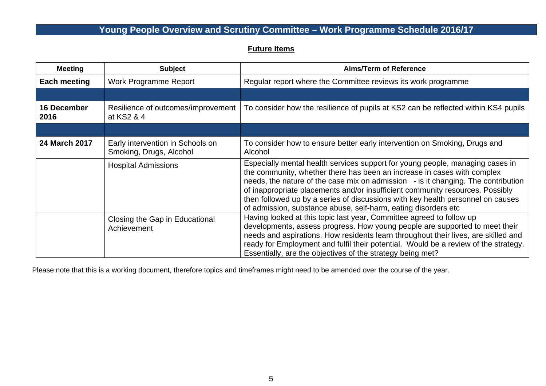### **Young People Overview and Scrutiny Committee – Work Programme Schedule 2016/17**

#### **Future Items**

| <b>Meeting</b>      | <b>Subject</b>                                              | <b>Aims/Term of Reference</b>                                                                                                                                                                                                                                                                                                                                                                                                                                                       |
|---------------------|-------------------------------------------------------------|-------------------------------------------------------------------------------------------------------------------------------------------------------------------------------------------------------------------------------------------------------------------------------------------------------------------------------------------------------------------------------------------------------------------------------------------------------------------------------------|
| Each meeting        | Work Programme Report                                       | Regular report where the Committee reviews its work programme                                                                                                                                                                                                                                                                                                                                                                                                                       |
|                     |                                                             |                                                                                                                                                                                                                                                                                                                                                                                                                                                                                     |
| 16 December<br>2016 | Resilience of outcomes/improvement<br>at KS2 & 4            | To consider how the resilience of pupils at KS2 can be reflected within KS4 pupils                                                                                                                                                                                                                                                                                                                                                                                                  |
|                     |                                                             |                                                                                                                                                                                                                                                                                                                                                                                                                                                                                     |
| 24 March 2017       | Early intervention in Schools on<br>Smoking, Drugs, Alcohol | To consider how to ensure better early intervention on Smoking, Drugs and<br>Alcohol                                                                                                                                                                                                                                                                                                                                                                                                |
|                     | <b>Hospital Admissions</b>                                  | Especially mental health services support for young people, managing cases in<br>the community, whether there has been an increase in cases with complex<br>needs, the nature of the case mix on admission - is it changing. The contribution<br>of inappropriate placements and/or insufficient community resources. Possibly<br>then followed up by a series of discussions with key health personnel on causes<br>of admission, substance abuse, self-harm, eating disorders etc |
|                     | Closing the Gap in Educational<br>Achievement               | Having looked at this topic last year, Committee agreed to follow up<br>developments, assess progress. How young people are supported to meet their<br>needs and aspirations. How residents learn throughout their lives, are skilled and<br>ready for Employment and fulfil their potential. Would be a review of the strategy.<br>Essentially, are the objectives of the strategy being met?                                                                                      |

Please note that this is a working document, therefore topics and timeframes might need to be amended over the course of the year.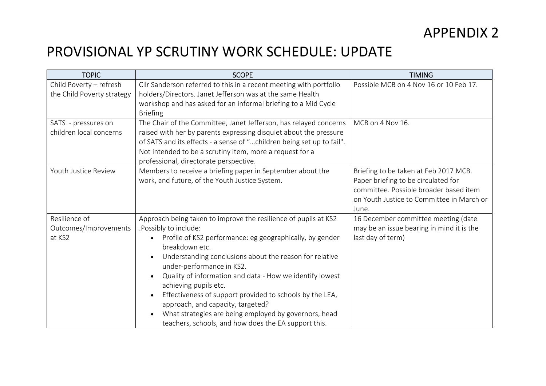## PROVISIONAL YP SCRUTINY WORK SCHEDULE: UPDATE

| <b>TOPIC</b>                                          | <b>SCOPE</b>                                                                                                                                                                                                                                                                                                                                                                                                                                                                                                                                                          | <b>TIMING</b>                                                                                                                                                                |
|-------------------------------------------------------|-----------------------------------------------------------------------------------------------------------------------------------------------------------------------------------------------------------------------------------------------------------------------------------------------------------------------------------------------------------------------------------------------------------------------------------------------------------------------------------------------------------------------------------------------------------------------|------------------------------------------------------------------------------------------------------------------------------------------------------------------------------|
| Child Poverty - refresh<br>the Child Poverty strategy | Cllr Sanderson referred to this in a recent meeting with portfolio<br>holders/Directors. Janet Jefferson was at the same Health<br>workshop and has asked for an informal briefing to a Mid Cycle<br><b>Briefing</b>                                                                                                                                                                                                                                                                                                                                                  | Possible MCB on 4 Nov 16 or 10 Feb 17.                                                                                                                                       |
| SATS - pressures on<br>children local concerns        | The Chair of the Committee, Janet Jefferson, has relayed concerns<br>raised with her by parents expressing disquiet about the pressure<br>of SATS and its effects - a sense of "children being set up to fail".<br>Not intended to be a scrutiny item, more a request for a<br>professional, directorate perspective.                                                                                                                                                                                                                                                 | MCB on 4 Nov 16.                                                                                                                                                             |
| Youth Justice Review                                  | Members to receive a briefing paper in September about the<br>work, and future, of the Youth Justice System.                                                                                                                                                                                                                                                                                                                                                                                                                                                          | Briefing to be taken at Feb 2017 MCB.<br>Paper briefing to be circulated for<br>committee. Possible broader based item<br>on Youth Justice to Committee in March or<br>June. |
| Resilience of<br>Outcomes/Improvements<br>at KS2      | Approach being taken to improve the resilience of pupils at KS2<br>.Possibly to include:<br>Profile of KS2 performance: eg geographically, by gender<br>breakdown etc.<br>Understanding conclusions about the reason for relative<br>under-performance in KS2.<br>Quality of information and data - How we identify lowest<br>achieving pupils etc.<br>Effectiveness of support provided to schools by the LEA,<br>approach, and capacity, targeted?<br>What strategies are being employed by governors, head<br>teachers, schools, and how does the EA support this. | 16 December committee meeting (date<br>may be an issue bearing in mind it is the<br>last day of term)                                                                        |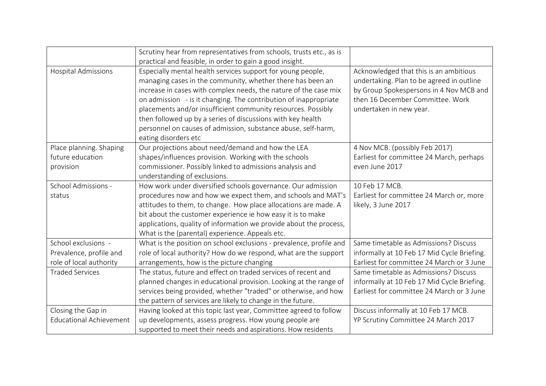|                                                                           | Scrutiny hear from representatives from schools, trusts etc., as is<br>practical and feasible, in order to gain a good insight.                                                                                                                                                                                                                                                                                                                                                           |                                                                                                                                                                                               |
|---------------------------------------------------------------------------|-------------------------------------------------------------------------------------------------------------------------------------------------------------------------------------------------------------------------------------------------------------------------------------------------------------------------------------------------------------------------------------------------------------------------------------------------------------------------------------------|-----------------------------------------------------------------------------------------------------------------------------------------------------------------------------------------------|
| <b>Hospital Admissions</b>                                                | Especially mental health services support for young people,<br>managing cases in the community, whether there has been an<br>increase in cases with complex needs, the nature of the case mix<br>on admission - is it changing. The contribution of inappropriate<br>placements and/or insufficient community resources. Possibly<br>then followed up by a series of discussions with key health<br>personnel on causes of admission, substance abuse, self-harm,<br>eating disorders etc | Acknowledged that this is an ambitious<br>undertaking. Plan to be agreed in outline<br>by Group Spokespersons in 4 Nov MCB and<br>then 16 December Committee. Work<br>undertaken in new year. |
| Place planning. Shaping<br>future education<br>provision                  | Our projections about need/demand and how the LEA<br>shapes/influences provision. Working with the schools<br>commissioner. Possibly linked to admissions analysis and<br>understanding of exclusions.                                                                                                                                                                                                                                                                                    | 4 Nov MCB. (possibly Feb 2017)<br>Earliest for committee 24 March, perhaps<br>even June 2017                                                                                                  |
| School Admissions -<br>status                                             | How work under diversified schools governance. Our admission<br>procedures now and how we expect them, and schools and MAT's<br>attitudes to them, to change. How place allocations are made. A<br>bit about the customer experience ie how easy it is to make<br>applications, quality of information we provide about the process,<br>What is the (parental) experience. Appeals etc.                                                                                                   | 10 Feb 17 MCB.<br>Earliest for committee 24 March or, more<br>likely, 3 June 2017                                                                                                             |
| School exclusions -<br>Prevalence, profile and<br>role of local authority | What is the position on school exclusions - prevalence, profile and<br>role of local authority? How do we respond, what are the support<br>arrangements, how is the picture changing                                                                                                                                                                                                                                                                                                      | Same timetable as Admissions? Discuss<br>informally at 10 Feb 17 Mid Cycle Briefing.<br>Earliest for committee 24 March or 3 June                                                             |
| <b>Traded Services</b>                                                    | The status, future and effect on traded services of recent and<br>planned changes in educational provision. Looking at the range of<br>services being provided, whether "traded" or otherwise, and how<br>the pattern of services are likely to change in the future.                                                                                                                                                                                                                     | Same timetable as Admissions? Discuss<br>informally at 10 Feb 17 Mid Cycle Briefing.<br>Earliest for committee 24 March or 3 June                                                             |
| Closing the Gap in<br><b>Educational Achievement</b>                      | Having looked at this topic last year, Committee agreed to follow<br>up developments, assess progress. How young people are<br>supported to meet their needs and aspirations. How residents                                                                                                                                                                                                                                                                                               | Discuss informally at 10 Feb 17 MCB.<br>YP Scrutiny Committee 24 March 2017                                                                                                                   |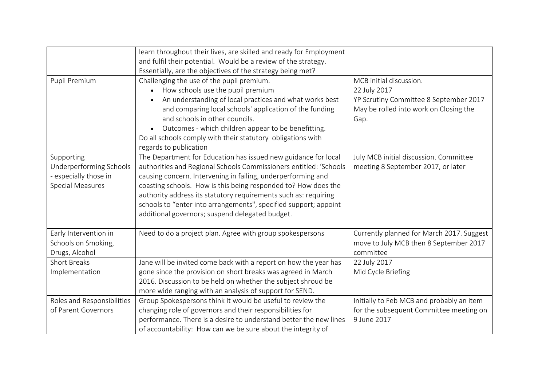|                                                                                           | learn throughout their lives, are skilled and ready for Employment<br>and fulfil their potential. Would be a review of the strategy.<br>Essentially, are the objectives of the strategy being met?                                                                                                                                                                                                                                                              |                                                                                                                                     |
|-------------------------------------------------------------------------------------------|-----------------------------------------------------------------------------------------------------------------------------------------------------------------------------------------------------------------------------------------------------------------------------------------------------------------------------------------------------------------------------------------------------------------------------------------------------------------|-------------------------------------------------------------------------------------------------------------------------------------|
| Pupil Premium                                                                             | Challenging the use of the pupil premium.<br>How schools use the pupil premium<br>An understanding of local practices and what works best<br>and comparing local schools' application of the funding<br>and schools in other councils.<br>Outcomes - which children appear to be benefitting.<br>Do all schools comply with their statutory obligations with<br>regards to publication                                                                          | MCB initial discussion.<br>22 July 2017<br>YP Scrutiny Committee 8 September 2017<br>May be rolled into work on Closing the<br>Gap. |
| Supporting<br>Underperforming Schools<br>- especially those in<br><b>Special Measures</b> | The Department for Education has issued new guidance for local<br>authorities and Regional Schools Commissioners entitled: 'Schools<br>causing concern. Intervening in failing, underperforming and<br>coasting schools. How is this being responded to? How does the<br>authority address its statutory requirements such as: requiring<br>schools to "enter into arrangements", specified support; appoint<br>additional governors; suspend delegated budget. | July MCB initial discussion. Committee<br>meeting 8 September 2017, or later                                                        |
| Early Intervention in<br>Schools on Smoking,<br>Drugs, Alcohol                            | Need to do a project plan. Agree with group spokespersons                                                                                                                                                                                                                                                                                                                                                                                                       | Currently planned for March 2017. Suggest<br>move to July MCB then 8 September 2017<br>committee                                    |
| <b>Short Breaks</b><br>Implementation                                                     | Jane will be invited come back with a report on how the year has<br>gone since the provision on short breaks was agreed in March<br>2016. Discussion to be held on whether the subject shroud be<br>more wide ranging with an analysis of support for SEND.                                                                                                                                                                                                     | 22 July 2017<br>Mid Cycle Briefing                                                                                                  |
| Roles and Responsibilities<br>of Parent Governors                                         | Group Spokespersons think It would be useful to review the<br>changing role of governors and their responsibilities for<br>performance. There is a desire to understand better the new lines<br>of accountability: How can we be sure about the integrity of                                                                                                                                                                                                    | Initially to Feb MCB and probably an item<br>for the subsequent Committee meeting on<br>9 June 2017                                 |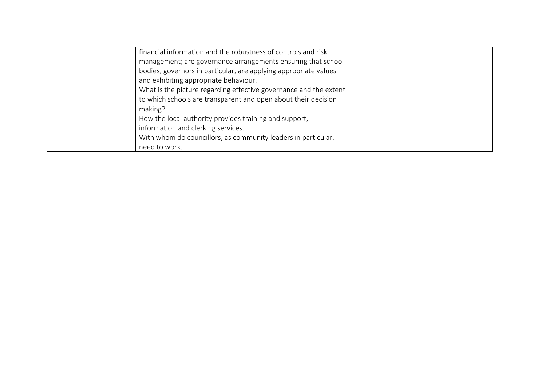| financial information and the robustness of controls and risk     |  |
|-------------------------------------------------------------------|--|
| management; are governance arrangements ensuring that school      |  |
| bodies, governors in particular, are applying appropriate values  |  |
| and exhibiting appropriate behaviour.                             |  |
| What is the picture regarding effective governance and the extent |  |
| to which schools are transparent and open about their decision    |  |
| making?                                                           |  |
| How the local authority provides training and support,            |  |
| information and clerking services.                                |  |
| With whom do councillors, as community leaders in particular,     |  |
| need to work.                                                     |  |